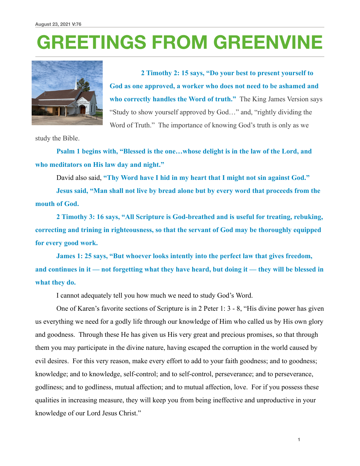## **GREETINGS FROM GREENVINE**



**2 Timothy 2: 15 says, "Do your best to present yourself to God as one approved, a worker who does not need to be ashamed and who correctly handles the Word of truth."** The King James Version says "Study to show yourself approved by God…" and, "rightly dividing the Word of Truth." The importance of knowing God's truth is only as we

study the Bible.

**Psalm 1 begins with, "Blessed is the one…whose delight is in the law of the Lord, and who meditators on His law day and night."** 

David also said, **"Thy Word have I hid in my heart that I might not sin against God."** 

**Jesus said, "Man shall not live by bread alone but by every word that proceeds from the mouth of God.** 

 **2 Timothy 3: 16 says, "All Scripture is God-breathed and is useful for treating, rebuking, correcting and trining in righteousness, so that the servant of God may be thoroughly equipped for every good work.** 

 **James 1: 25 says, "But whoever looks intently into the perfect law that gives freedom, and continues in it — not forgetting what they have heard, but doing it — they will be blessed in what they do.** 

I cannot adequately tell you how much we need to study God's Word.

 One of Karen's favorite sections of Scripture is in 2 Peter 1: 3 - 8, "His divine power has given us everything we need for a godly life through our knowledge of Him who called us by His own glory and goodness. Through these He has given us His very great and precious promises, so that through them you may participate in the divine nature, having escaped the corruption in the world caused by evil desires. For this very reason, make every effort to add to your faith goodness; and to goodness; knowledge; and to knowledge, self-control; and to self-control, perseverance; and to perseverance, godliness; and to godliness, mutual affection; and to mutual affection, love. For if you possess these qualities in increasing measure, they will keep you from being ineffective and unproductive in your knowledge of our Lord Jesus Christ."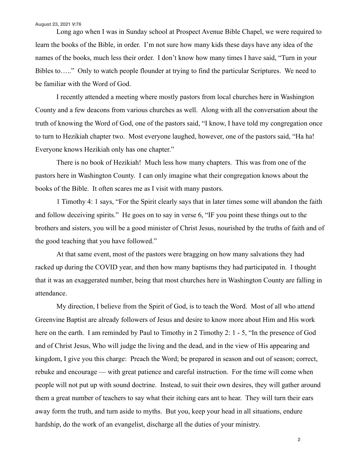## **August 23, 2021 V:76**

 Long ago when I was in Sunday school at Prospect Avenue Bible Chapel, we were required to learn the books of the Bible, in order. I'm not sure how many kids these days have any idea of the names of the books, much less their order. I don't know how many times I have said, "Turn in your Bibles to….." Only to watch people flounder at trying to find the particular Scriptures. We need to be familiar with the Word of God.

 I recently attended a meeting where mostly pastors from local churches here in Washington County and a few deacons from various churches as well. Along with all the conversation about the truth of knowing the Word of God, one of the pastors said, "I know, I have told my congregation once to turn to Hezikiah chapter two. Most everyone laughed, however, one of the pastors said, "Ha ha! Everyone knows Hezikiah only has one chapter."

 There is no book of Hezikiah! Much less how many chapters. This was from one of the pastors here in Washington County. I can only imagine what their congregation knows about the books of the Bible. It often scares me as I visit with many pastors.

 1 Timothy 4: 1 says, "For the Spirit clearly says that in later times some will abandon the faith and follow deceiving spirits." He goes on to say in verse 6, "IF you point these things out to the brothers and sisters, you will be a good minister of Christ Jesus, nourished by the truths of faith and of the good teaching that you have followed."

 At that same event, most of the pastors were bragging on how many salvations they had racked up during the COVID year, and then how many baptisms they had participated in. I thought that it was an exaggerated number, being that most churches here in Washington County are falling in attendance.

 My direction, I believe from the Spirit of God, is to teach the Word. Most of all who attend Greenvine Baptist are already followers of Jesus and desire to know more about Him and His work here on the earth. I am reminded by Paul to Timothy in 2 Timothy 2: 1 - 5, "In the presence of God and of Christ Jesus, Who will judge the living and the dead, and in the view of His appearing and kingdom, I give you this charge: Preach the Word; be prepared in season and out of season; correct, rebuke and encourage — with great patience and careful instruction. For the time will come when people will not put up with sound doctrine. Instead, to suit their own desires, they will gather around them a great number of teachers to say what their itching ears ant to hear. They will turn their ears away form the truth, and turn aside to myths. But you, keep your head in all situations, endure hardship, do the work of an evangelist, discharge all the duties of your ministry.

**2**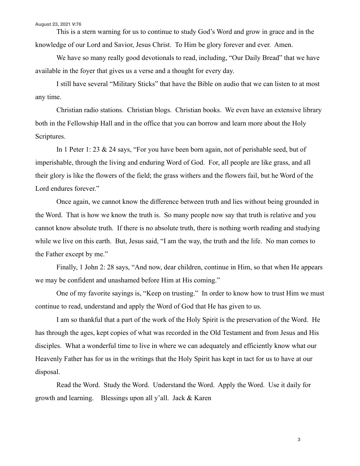This is a stern warning for us to continue to study God's Word and grow in grace and in the knowledge of our Lord and Savior, Jesus Christ. To Him be glory forever and ever. Amen.

We have so many really good devotionals to read, including, "Our Daily Bread" that we have available in the foyer that gives us a verse and a thought for every day.

 I still have several "Military Sticks" that have the Bible on audio that we can listen to at most any time.

 Christian radio stations. Christian blogs. Christian books. We even have an extensive library both in the Fellowship Hall and in the office that you can borrow and learn more about the Holy Scriptures.

 In 1 Peter 1: 23 & 24 says, "For you have been born again, not of perishable seed, but of imperishable, through the living and enduring Word of God. For, all people are like grass, and all their glory is like the flowers of the field; the grass withers and the flowers fail, but he Word of the Lord endures forever."

 Once again, we cannot know the difference between truth and lies without being grounded in the Word. That is how we know the truth is. So many people now say that truth is relative and you cannot know absolute truth. If there is no absolute truth, there is nothing worth reading and studying while we live on this earth. But, Jesus said, "I am the way, the truth and the life. No man comes to the Father except by me."

 Finally, 1 John 2: 28 says, "And now, dear children, continue in Him, so that when He appears we may be confident and unashamed before Him at His coming."

 One of my favorite sayings is, "Keep on trusting." In order to know how to trust Him we must continue to read, understand and apply the Word of God that He has given to us.

 I am so thankful that a part of the work of the Holy Spirit is the preservation of the Word. He has through the ages, kept copies of what was recorded in the Old Testament and from Jesus and His disciples. What a wonderful time to live in where we can adequately and efficiently know what our Heavenly Father has for us in the writings that the Holy Spirit has kept in tact for us to have at our disposal.

 Read the Word. Study the Word. Understand the Word. Apply the Word. Use it daily for growth and learning. Blessings upon all y'all. Jack & Karen